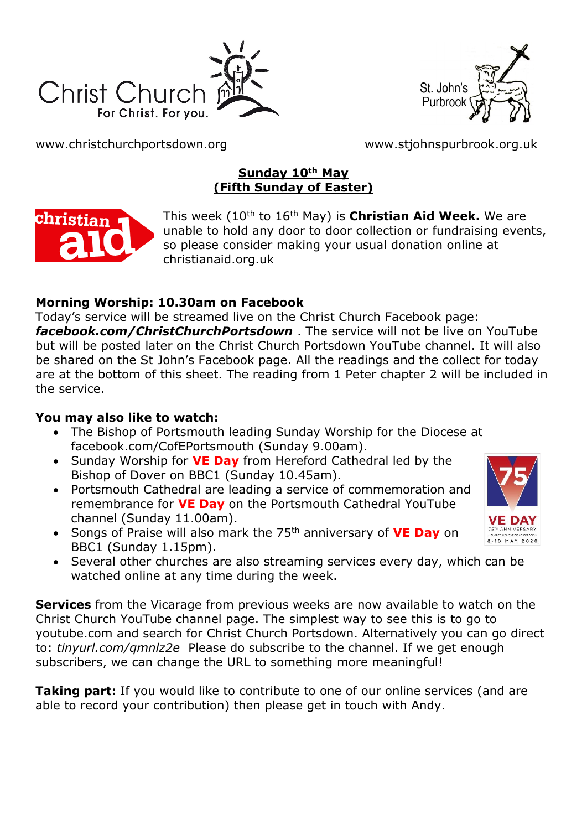



[www.christchurchportsdown.org](http://www.christchurchportsdown.org/) [www.stjohnspurbrook.org.uk](http://www.stjohnspurbrook.org.uk/)

# **Sunday 10th May (Fifth Sunday of Easter)**



This week (10th to 16th May) is **Christian Aid Week.** We are unable to hold any door to door collection or fundraising events, so please consider making your usual donation online at christianaid.org.uk

# **Morning Worship: 10.30am on Facebook**

Today's service will be streamed live on the Christ Church Facebook page: *[facebook.com/ChristChurchPortsdown](http://www.facebook.com/ChristChurchPortsdown%20at%2010.30)* . The service will not be live on YouTube but will be posted later on the Christ Church Portsdown YouTube channel. It will also be shared on the St John's Facebook page. All the readings and the collect for today are at the bottom of this sheet. The reading from 1 Peter chapter 2 will be included in the service.

# **You may also like to watch:**

- The Bishop of Portsmouth leading Sunday Worship for the Diocese at facebook.com/CofEPortsmouth (Sunday 9.00am).
- Sunday Worship for **VE Day** from Hereford Cathedral led by the Bishop of Dover on BBC1 (Sunday 10.45am).
- Portsmouth Cathedral are leading a service of commemoration and remembrance for **VE Day** on the Portsmouth Cathedral YouTube channel (Sunday 11.00am).
- Songs of Praise will also mark the 75th anniversary of **VE Day** on BBC1 (Sunday 1.15pm).
- $MAX 2020$
- Several other churches are also streaming services every day, which can be watched online at any time during the week.

**Services** from the Vicarage from previous weeks are now available to watch on the Christ Church YouTube channel page. The simplest way to see this is to go to youtube.com and search for Christ Church Portsdown. Alternatively you can go direct to: *tinyurl.com/qmnlz2e* Please do subscribe to the channel. If we get enough subscribers, we can change the URL to something more meaningful!

**Taking part:** If you would like to contribute to one of our online services (and are able to record your contribution) then please get in touch with Andy.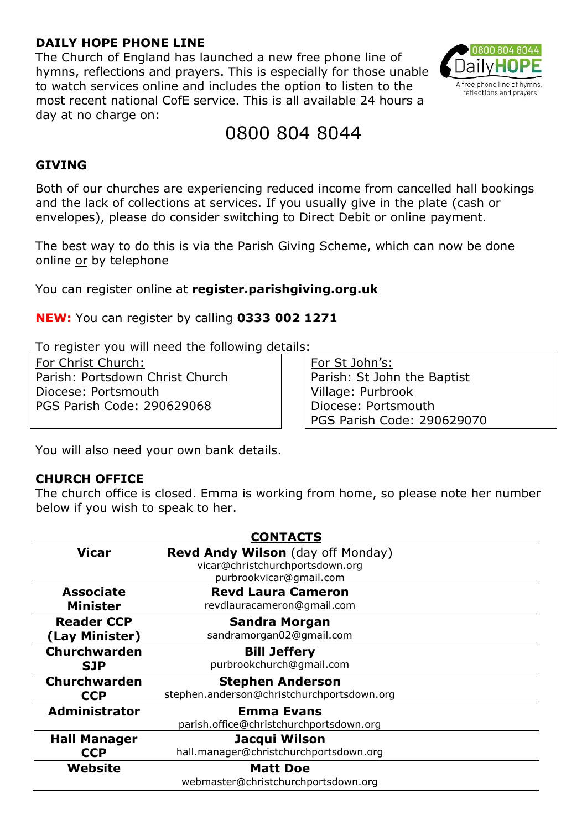### **DAILY HOPE PHONE LINE**

The Church of England has launched a new free phone line of hymns, reflections and prayers. This is especially for those unable to watch services online and includes the option to listen to the most recent national CofE service. This is all available 24 hours a day at no charge on:



# 0800 804 8044

### **GIVING**

Both of our churches are experiencing reduced income from cancelled hall bookings and the lack of collections at services. If you usually give in the plate (cash or envelopes), please do consider switching to Direct Debit or online payment.

The best way to do this is via the Parish Giving Scheme, which can now be done online or by telephone

You can register online at **register.parishgiving.org.uk**

**NEW:** You can register by calling **0333 002 1271**

To register you will need the following details:

For Christ Church: Parish: Portsdown Christ Church Diocese: Portsmouth PGS Parish Code: 290629068

For St John's: Parish: St John the Baptist Village: Purbrook Diocese: Portsmouth PGS Parish Code: 290629070

You will also need your own bank details.

### **CHURCH OFFICE**

The church office is closed. Emma is working from home, so please note her number below if you wish to speak to her.

| <b>CONTACTS</b>      |                                                                                                 |
|----------------------|-------------------------------------------------------------------------------------------------|
| <b>Vicar</b>         | Revd Andy Wilson (day off Monday)<br>vicar@christchurchportsdown.org<br>purbrookvicar@gmail.com |
| <b>Associate</b>     | <b>Revd Laura Cameron</b>                                                                       |
| <b>Minister</b>      | revdlauracameron@gmail.com                                                                      |
| <b>Reader CCP</b>    | <b>Sandra Morgan</b>                                                                            |
| (Lay Minister)       | sandramorgan02@gmail.com                                                                        |
| <b>Churchwarden</b>  | <b>Bill Jeffery</b>                                                                             |
| <b>SJP</b>           | purbrookchurch@gmail.com                                                                        |
| Churchwarden         | <b>Stephen Anderson</b>                                                                         |
| <b>CCP</b>           | stephen.anderson@christchurchportsdown.org                                                      |
| <b>Administrator</b> | <b>Emma Evans</b>                                                                               |
|                      | parish.office@christchurchportsdown.org                                                         |
| <b>Hall Manager</b>  | Jacqui Wilson                                                                                   |
| <b>CCP</b>           | hall.manager@christchurchportsdown.org                                                          |
| Website              | <b>Matt Doe</b>                                                                                 |
|                      | webmaster@christchurchportsdown.org                                                             |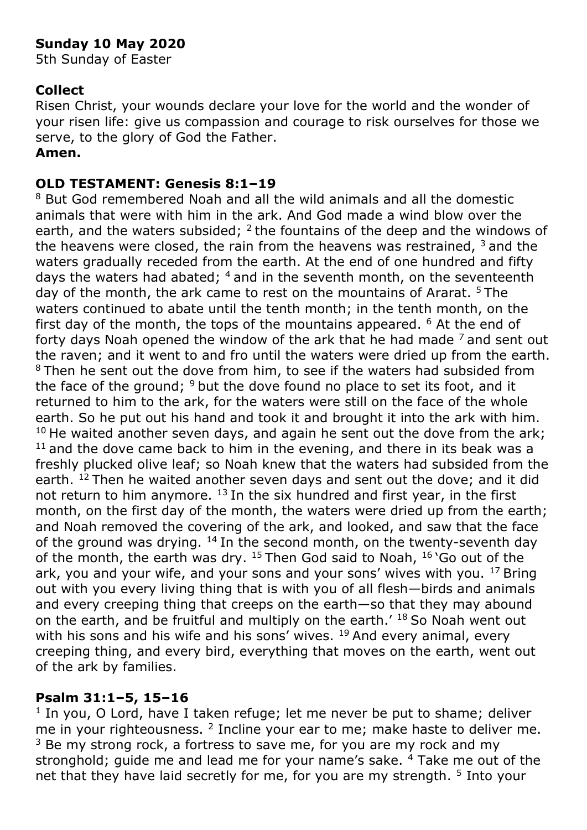# **Sunday 10 May 2020**

5th Sunday of Easter

# **Collect**

Risen Christ, your wounds declare your love for the world and the wonder of your risen life: give us compassion and courage to risk ourselves for those we serve, to the glory of God the Father.

### **Amen.**

### **OLD TESTAMENT: Genesis 8:1–19**

<sup>8</sup> But God remembered Noah and all the wild animals and all the domestic animals that were with him in the ark. And God made a wind blow over the earth, and the waters subsided;  $2$  the fountains of the deep and the windows of the heavens were closed, the rain from the heavens was restrained,  $3$  and the waters gradually receded from the earth. At the end of one hundred and fifty days the waters had abated; <sup>4</sup> and in the seventh month, on the seventeenth day of the month, the ark came to rest on the mountains of Ararat. <sup>5</sup> The waters continued to abate until the tenth month; in the tenth month, on the first day of the month, the tops of the mountains appeared.  $6$  At the end of forty days Noah opened the window of the ark that he had made  $<sup>7</sup>$  and sent out</sup> the raven; and it went to and fro until the waters were dried up from the earth. <sup>8</sup> Then he sent out the dove from him, to see if the waters had subsided from the face of the ground;  $9$  but the dove found no place to set its foot, and it returned to him to the ark, for the waters were still on the face of the whole earth. So he put out his hand and took it and brought it into the ark with him.  $10$  He waited another seven days, and again he sent out the dove from the ark;  $11$  and the dove came back to him in the evening, and there in its beak was a freshly plucked olive leaf; so Noah knew that the waters had subsided from the earth. <sup>12</sup> Then he waited another seven days and sent out the dove; and it did not return to him anymore.  $^{13}$  In the six hundred and first year, in the first month, on the first day of the month, the waters were dried up from the earth; and Noah removed the covering of the ark, and looked, and saw that the face of the ground was drying.  $14$  In the second month, on the twenty-seventh day of the month, the earth was dry. <sup>15</sup> Then God said to Noah, <sup>16</sup> 'Go out of the ark, you and your wife, and your sons and your sons' wives with you.  $^{17}$  Bring out with you every living thing that is with you of all flesh—birds and animals and every creeping thing that creeps on the earth—so that they may abound on the earth, and be fruitful and multiply on the earth.'  $^{18}$  So Noah went out with his sons and his wife and his sons' wives.  $19$  And every animal, every creeping thing, and every bird, everything that moves on the earth, went out of the ark by families.

### **Psalm 31:1–5, 15–16**

<sup>1</sup> In you, O Lord, have I taken refuge; let me never be put to shame; deliver me in your righteousness.  $2$  Incline your ear to me; make haste to deliver me.  $3$  Be my strong rock, a fortress to save me, for you are my rock and my stronghold; guide me and lead me for your name's sake.  $4$  Take me out of the net that they have laid secretly for me, for you are my strength. <sup>5</sup> Into your